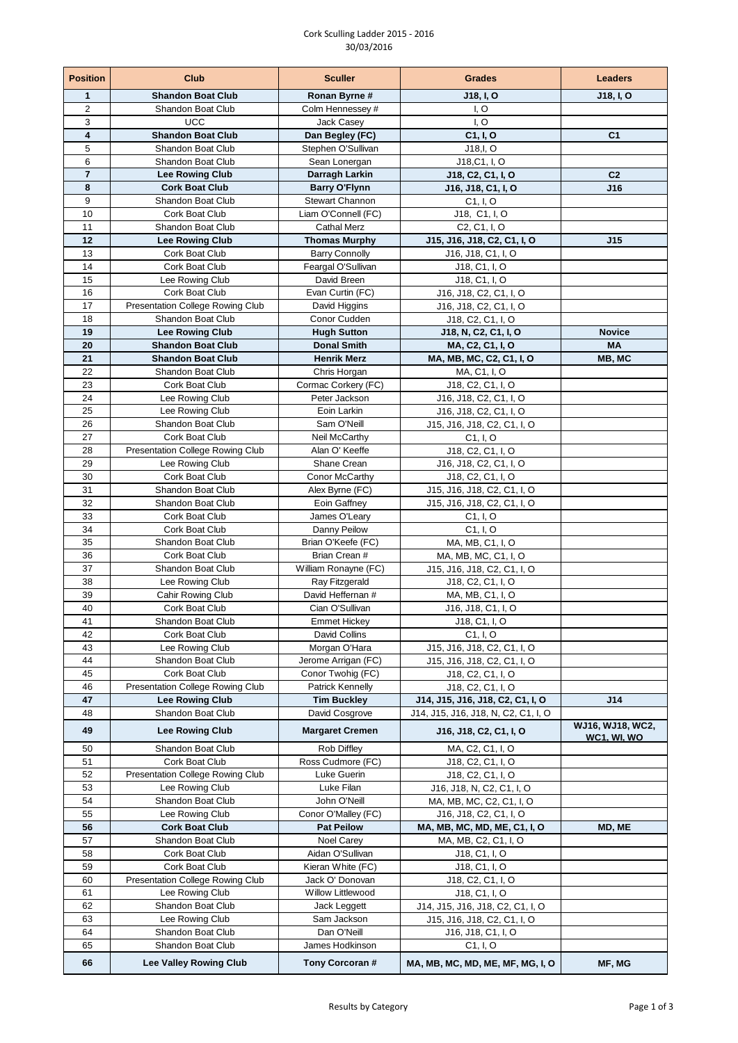## Cork Sculling Ladder 2015 - 2016 30/03/2016

| <b>Position</b> | Club                                                       | <b>Sculler</b>                             | <b>Grades</b>                                                         | Leaders             |
|-----------------|------------------------------------------------------------|--------------------------------------------|-----------------------------------------------------------------------|---------------------|
| 1               | <b>Shandon Boat Club</b>                                   | Ronan Byrne #                              | J18, I, O                                                             | J18, I, O           |
| $\overline{2}$  | Shandon Boat Club                                          | Colm Hennessey #                           | I, O                                                                  |                     |
| 3<br>4          | <b>UCC</b><br><b>Shandon Boat Club</b>                     | Jack Casey                                 | I, O                                                                  | C <sub>1</sub>      |
| 5               | Shandon Boat Club                                          | Dan Begley (FC)<br>Stephen O'Sullivan      | C1, I, O<br>J18,I, O                                                  |                     |
| 6               | Shandon Boat Club                                          | Sean Lonergan                              | J18,C1, I, O                                                          |                     |
| $\overline{7}$  | <b>Lee Rowing Club</b>                                     | Darragh Larkin                             | J18, C2, C1, I, O                                                     | C <sub>2</sub>      |
| 8               | <b>Cork Boat Club</b>                                      | <b>Barry O'Flynn</b>                       | J16, J18, C1, I, O                                                    | J16                 |
| 9               | Shandon Boat Club                                          | <b>Stewart Channon</b>                     | C1, I, O                                                              |                     |
| 10              | Cork Boat Club                                             | Liam O'Connell (FC)                        | J18, C1, I, O                                                         |                     |
| 11<br>12        | <b>Shandon Boat Club</b><br><b>Lee Rowing Club</b>         | <b>Cathal Merz</b><br><b>Thomas Murphy</b> | C <sub>2</sub> , C <sub>1</sub> , I, O<br>J15, J16, J18, C2, C1, I, O | J15                 |
| 13              | Cork Boat Club                                             | <b>Barry Connolly</b>                      | J16, J18, C1, I, O                                                    |                     |
| 14              | Cork Boat Club                                             | Feargal O'Sullivan                         | J18, C1, I, O                                                         |                     |
| 15              | Lee Rowing Club                                            | David Breen                                | J18, C1, I, O                                                         |                     |
| 16              | Cork Boat Club                                             | Evan Curtin (FC)                           | J16, J18, C2, C1, I, O                                                |                     |
| 17              | Presentation College Rowing Club                           | David Higgins                              | J16, J18, C2, C1, I, O                                                |                     |
| 18              | Shandon Boat Club                                          | Conor Cudden                               | J18, C2, C1, I, O                                                     |                     |
| 19              | <b>Lee Rowing Club</b>                                     | <b>Hugh Sutton</b>                         | J18, N, C2, C1, I, O                                                  | <b>Novice</b>       |
| 20<br>21        | <b>Shandon Boat Club</b><br><b>Shandon Boat Club</b>       | <b>Donal Smith</b><br><b>Henrik Merz</b>   | MA, C2, C1, I, O<br>MA, MB, MC, C2, C1, I, O                          | <b>MA</b><br>MB, MC |
| 22              | Shandon Boat Club                                          | Chris Horgan                               | MA, C1, I, O                                                          |                     |
| 23              | Cork Boat Club                                             | Cormac Corkery (FC)                        | J18, C2, C1, I, O                                                     |                     |
| 24              | Lee Rowing Club                                            | Peter Jackson                              | J16, J18, C2, C1, I, O                                                |                     |
| 25              | Lee Rowing Club                                            | Eoin Larkin                                | J16, J18, C2, C1, I, O                                                |                     |
| 26              | Shandon Boat Club                                          | Sam O'Neill                                | J15, J16, J18, C2, C1, I, O                                           |                     |
| 27              | Cork Boat Club                                             | Neil McCarthy                              | C1, I, O                                                              |                     |
| 28              | Presentation College Rowing Club                           | Alan O' Keeffe                             | J18, C2, C1, I, O                                                     |                     |
| 29<br>30        | Lee Rowing Club<br>Cork Boat Club                          | Shane Crean<br>Conor McCarthy              | J16, J18, C2, C1, I, O<br>J18, C2, C1, I, O                           |                     |
| 31              | Shandon Boat Club                                          | Alex Byrne (FC)                            | J15, J16, J18, C2, C1, I, O                                           |                     |
| 32              | Shandon Boat Club                                          | Eoin Gaffney                               | J15, J16, J18, C2, C1, I, O                                           |                     |
| 33              | Cork Boat Club                                             | James O'Leary                              | C1, I, O                                                              |                     |
| 34              | Cork Boat Club                                             | Danny Peilow                               | C1, I, O                                                              |                     |
| 35              | Shandon Boat Club                                          | Brian O'Keefe (FC)                         | MA, MB, C1, I, O                                                      |                     |
| 36              | Cork Boat Club                                             | Brian Crean #                              | MA, MB, MC, C1, I, O                                                  |                     |
| 37<br>38        | Shandon Boat Club                                          | William Ronayne (FC)                       | J15, J16, J18, C2, C1, I, O                                           |                     |
| 39              | Lee Rowing Club<br>Cahir Rowing Club                       | Ray Fitzgerald<br>David Heffernan #        | J18, C2, C1, I, O<br>MA, MB, C1, I, O                                 |                     |
| 40              | Cork Boat Club                                             | Cian O'Sullivan                            | J16, J18, C1, I, O                                                    |                     |
| 41              | Shandon Boat Club                                          | <b>Emmet Hickey</b>                        | J18, C1, I, O                                                         |                     |
| 42              | Cork Boat Club                                             | David Collins                              | C1, I, O                                                              |                     |
| 43              | Lee Rowing Club                                            | Morgan O'Hara                              | J15, J16, J18, C2, C1, I, O                                           |                     |
| 44              | Shandon Boat Club                                          | Jerome Arrigan (FC)                        | J15, J16, J18, C2, C1, I, O                                           |                     |
| 45              | Cork Boat Club                                             | Conor Twohig (FC)                          | J18, C2, C1, I, O                                                     |                     |
| 46<br>47        | Presentation College Rowing Club<br><b>Lee Rowing Club</b> | Patrick Kennelly<br><b>Tim Buckley</b>     | J18, C2, C1, I, O<br>J14, J15, J16, J18, C2, C1, I, O                 | J14                 |
| 48              | Shandon Boat Club                                          | David Cosgrove                             | J14, J15, J16, J18, N, C2, C1, I, O                                   |                     |
| 49              | <b>Lee Rowing Club</b>                                     | <b>Margaret Cremen</b>                     |                                                                       | WJ16, WJ18, WC2,    |
|                 |                                                            |                                            | J16, J18, C2, C1, I, O                                                | <b>WC1, WI, WO</b>  |
| 50<br>51        | Shandon Boat Club                                          | Rob Diffley<br>Ross Cudmore (FC)           | MA, C2, C1, I, O                                                      |                     |
| 52              | Cork Boat Club<br>Presentation College Rowing Club         | Luke Guerin                                | J18, C2, C1, I, O<br>J18, C2, C1, I, O                                |                     |
| 53              | Lee Rowing Club                                            | Luke Filan                                 | J16, J18, N, C2, C1, I, O                                             |                     |
| 54              | Shandon Boat Club                                          | John O'Neill                               | MA, MB, MC, C2, C1, I, O                                              |                     |
| 55              | Lee Rowing Club                                            | Conor O'Malley (FC)                        | J16, J18, C <sub>2</sub> , C <sub>1</sub> , I, O                      |                     |
| 56              | <b>Cork Boat Club</b>                                      | <b>Pat Peilow</b>                          | MA, MB, MC, MD, ME, C1, I, O                                          | MD, ME              |
| 57              | Shandon Boat Club                                          | <b>Noel Carey</b>                          | MA, MB, C2, C1, I, O                                                  |                     |
| 58              | Cork Boat Club                                             | Aidan O'Sullivan                           | J18, C1, I, O                                                         |                     |
| 59<br>60        | Cork Boat Club<br>Presentation College Rowing Club         | Kieran White (FC)<br>Jack O' Donovan       | J18, C1, I, O<br>J18, C2, C1, I, O                                    |                     |
| 61              | Lee Rowing Club                                            | Willow Littlewood                          | J18, C1, I, O                                                         |                     |
| 62              | Shandon Boat Club                                          | Jack Leggett                               | J14, J15, J16, J18, C2, C1, I, O                                      |                     |
| 63              | Lee Rowing Club                                            | Sam Jackson                                | J15, J16, J18, C2, C1, I, O                                           |                     |
| 64              | Shandon Boat Club                                          | Dan O'Neill                                | J16, J18, C1, I, O                                                    |                     |
| 65              | Shandon Boat Club                                          | James Hodkinson                            | C1, I, O                                                              |                     |
| 66              | <b>Lee Valley Rowing Club</b>                              | Tony Corcoran #                            | MA, MB, MC, MD, ME, MF, MG, I, O                                      | MF, MG              |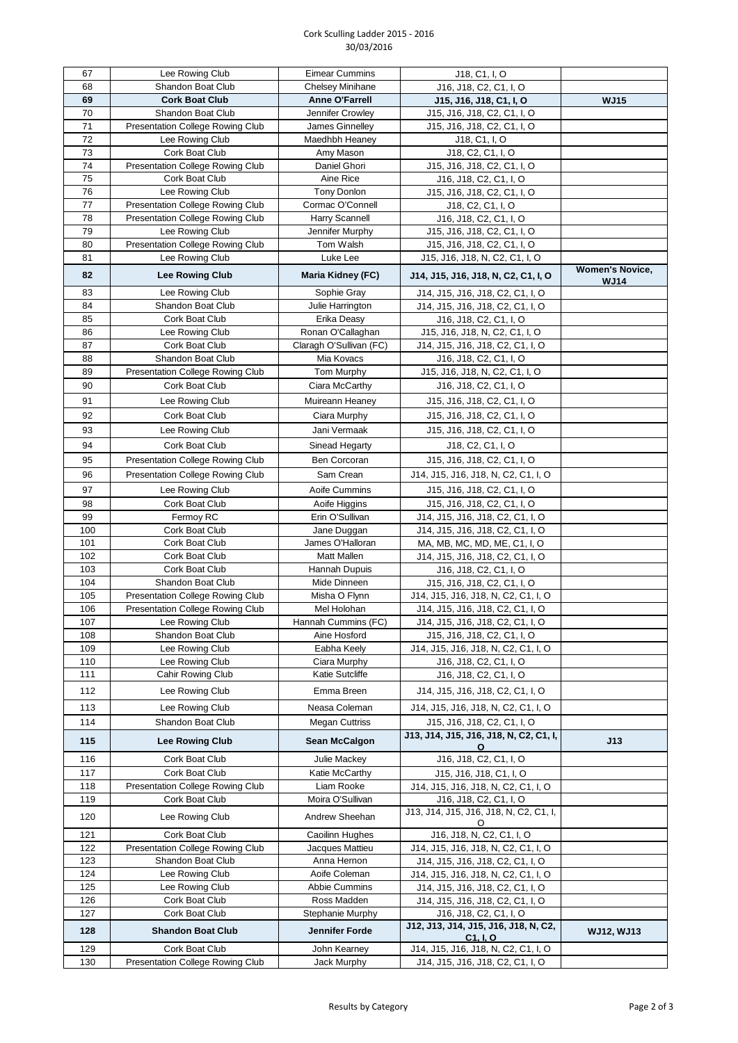## Cork Sculling Ladder 2015 - 2016 30/03/2016

| 67         | Lee Rowing Club                                       | <b>Eimear Cummins</b>        | J18, C1, I, O                                                           |                                       |
|------------|-------------------------------------------------------|------------------------------|-------------------------------------------------------------------------|---------------------------------------|
| 68         | Shandon Boat Club                                     | <b>Chelsey Minihane</b>      | J16, J18, C2, C1, I, O                                                  |                                       |
| 69         | <b>Cork Boat Club</b>                                 | <b>Anne O'Farrell</b>        | J15, J16, J18, C1, I, O                                                 | <b>WJ15</b>                           |
| 70         | <b>Shandon Boat Club</b>                              | Jennifer Crowley             | J15, J16, J18, C2, C1, I, O                                             |                                       |
| 71         | Presentation College Rowing Club                      | James Ginnelley              | J15, J16, J18, C2, C1, I, O                                             |                                       |
| 72         | Lee Rowing Club                                       | Maedhbh Heaney               | J18, C1, I, O                                                           |                                       |
| 73         | <b>Cork Boat Club</b>                                 | Amy Mason                    | J18, C2, C1, I, O                                                       |                                       |
| 74         | Presentation College Rowing Club                      | Daniel Ghori                 | J15, J16, J18, C2, C1, I, O                                             |                                       |
| 75         | Cork Boat Club                                        | Aine Rice                    | J16, J18, C2, C1, I, O                                                  |                                       |
| 76         | Lee Rowing Club                                       | <b>Tony Donlon</b>           | J15, J16, J18, C2, C1, I, O                                             |                                       |
| 77         | Presentation College Rowing Club                      | Cormac O'Connell             | J18, C2, C1, I, O                                                       |                                       |
| 78         | Presentation College Rowing Club                      | Harry Scannell               | J16, J18, C2, C1, I, O                                                  |                                       |
| 79         | Lee Rowing Club                                       | Jennifer Murphy              | J15, J16, J18, C2, C1, I, O                                             |                                       |
| 80         | Presentation College Rowing Club                      | Tom Walsh                    | J15, J16, J18, C2, C1, I, O                                             |                                       |
| 81         | Lee Rowing Club                                       | Luke Lee                     | J15, J16, J18, N, C2, C1, I, O                                          |                                       |
| 82         | <b>Lee Rowing Club</b>                                | Maria Kidney (FC)            | J14, J15, J16, J18, N, C2, C1, I, O                                     | <b>Women's Novice,</b><br><b>WJ14</b> |
| 83         | Lee Rowing Club                                       | Sophie Gray                  | J14, J15, J16, J18, C2, C1, I, O                                        |                                       |
| 84         | Shandon Boat Club                                     | Julie Harrington             | J14, J15, J16, J18, C2, C1, I, O                                        |                                       |
| 85         | Cork Boat Club                                        | Erika Deasy                  | J16, J18, C2, C1, I, O                                                  |                                       |
| 86         | Lee Rowing Club                                       | Ronan O'Callaghan            | J15, J16, J18, N, C2, C1, I, O                                          |                                       |
| 87         | <b>Cork Boat Club</b>                                 | Claragh O'Sullivan (FC)      | J14, J15, J16, J18, C2, C1, I, O                                        |                                       |
| 88         | <b>Shandon Boat Club</b>                              | Mia Kovacs                   | J16, J18, C2, C1, I, O                                                  |                                       |
| 89         | Presentation College Rowing Club                      | Tom Murphy                   | J15, J16, J18, N, C2, C1, I, O                                          |                                       |
| 90         | <b>Cork Boat Club</b>                                 | Ciara McCarthy               | J16, J18, C2, C1, I, O                                                  |                                       |
| 91         | Lee Rowing Club                                       | Muireann Heaney              | J15, J16, J18, C2, C1, I, O                                             |                                       |
| 92         | Cork Boat Club                                        | Ciara Murphy                 | J15, J16, J18, C2, C1, I, O                                             |                                       |
| 93         | Lee Rowing Club                                       | Jani Vermaak                 | J15, J16, J18, C2, C1, I, O                                             |                                       |
|            |                                                       |                              |                                                                         |                                       |
| 94         | Cork Boat Club                                        | Sinead Hegarty               | J18, C2, C1, I, O                                                       |                                       |
| 95         | Presentation College Rowing Club                      | Ben Corcoran                 | J15, J16, J18, C2, C1, I, O                                             |                                       |
| 96         | Presentation College Rowing Club                      | Sam Crean                    | J14, J15, J16, J18, N, C2, C1, I, O                                     |                                       |
| 97         | Lee Rowing Club                                       | Aoife Cummins                | J15, J16, J18, C2, C1, I, O                                             |                                       |
| 98         | Cork Boat Club                                        | Aoife Higgins                | J15, J16, J18, C2, C1, I, O                                             |                                       |
| 99         | Fermoy RC                                             | Erin O'Sullivan              | J14, J15, J16, J18, C2, C1, I, O                                        |                                       |
| 100        | Cork Boat Club                                        | Jane Duggan                  | J14, J15, J16, J18, C2, C1, I, O                                        |                                       |
| 101        | Cork Boat Club                                        | James O'Halloran             | MA, MB, MC, MD, ME, C1, I, O                                            |                                       |
| 102        | Cork Boat Club                                        | <b>Matt Mallen</b>           | J14, J15, J16, J18, C2, C1, I, O                                        |                                       |
| 103<br>104 | Cork Boat Club                                        | Hannah Dupuis                | J16, J18, C2, C1, I, O                                                  |                                       |
| 105        | Shandon Boat Club<br>Presentation College Rowing Club | Mide Dinneen                 | J15, J16, J18, C2, C1, I, O                                             |                                       |
| 106        | Presentation College Rowing Club                      | Misha O Flynn<br>Mel Holohan | J14, J15, J16, J18, N, C2, C1, I, O<br>J14, J15, J16, J18, C2, C1, I, O |                                       |
| 107        | Lee Rowing Club                                       | Hannah Cummins (FC)          | J14, J15, J16, J18, C2, C1, I, O                                        |                                       |
| 108        | Shandon Boat Club                                     | Aine Hosford                 | J15, J16, J18, C2, C1, I, O                                             |                                       |
| 109        | Lee Rowing Club                                       | Eabha Keely                  | J14, J15, J16, J18, N, C2, C1, I, O                                     |                                       |
| 110        | Lee Rowing Club                                       | Ciara Murphy                 | J16, J18, C2, C1, I, O                                                  |                                       |
| 111        | Cahir Rowing Club                                     | Katie Sutcliffe              | J16, J18, C2, C1, I, O                                                  |                                       |
| 112        | Lee Rowing Club                                       | Emma Breen                   | J14, J15, J16, J18, C2, C1, I, O                                        |                                       |
|            |                                                       |                              |                                                                         |                                       |
| 113        | Lee Rowing Club                                       | Neasa Coleman                | J14, J15, J16, J18, N, C2, C1, I, O                                     |                                       |
| 114        | Shandon Boat Club                                     | <b>Megan Cuttriss</b>        | J15, J16, J18, C2, C1, I, O                                             |                                       |
| 115        | <b>Lee Rowing Club</b>                                | <b>Sean McCalgon</b>         | J13, J14, J15, J16, J18, N, C2, C1, I,<br>O                             | J13                                   |
| 116        | Cork Boat Club                                        | Julie Mackey                 | J16, J18, C2, C1, I, O                                                  |                                       |
| 117        | Cork Boat Club                                        | Katie McCarthy               | J15, J16, J18, C1, I, O                                                 |                                       |
| 118        | Presentation College Rowing Club                      | Liam Rooke                   | J14, J15, J16, J18, N, C2, C1, I, O                                     |                                       |
| 119        | Cork Boat Club                                        | Moira O'Sullivan             | J16, J18, C2, C1, I, O                                                  |                                       |
| 120        | Lee Rowing Club                                       | Andrew Sheehan               | J13, J14, J15, J16, J18, N, C2, C1, I,<br>O                             |                                       |
| 121        | Cork Boat Club                                        | Caoilinn Hughes              | J16, J18, N, C2, C1, I, O                                               |                                       |
| 122        | Presentation College Rowing Club                      | Jacques Mattieu              | J14, J15, J16, J18, N, C2, C1, I, O                                     |                                       |
| 123        | Shandon Boat Club                                     | Anna Hernon                  | J14, J15, J16, J18, C2, C1, I, O                                        |                                       |
| 124        | Lee Rowing Club                                       | Aoife Coleman                | J14, J15, J16, J18, N, C2, C1, I, O                                     |                                       |
| 125        | Lee Rowing Club                                       | Abbie Cummins                | J14, J15, J16, J18, C2, C1, I, O                                        |                                       |
| 126        | Cork Boat Club                                        | Ross Madden                  | J14, J15, J16, J18, C2, C1, I, O                                        |                                       |
| 127        | Cork Boat Club                                        | Stephanie Murphy             | J16, J18, C2, C1, I, O                                                  |                                       |
| 128        | <b>Shandon Boat Club</b>                              | Jennifer Forde               | J12, J13, J14, J15, J16, J18, N, C2,<br>C1, I, O                        | <b>WJ12, WJ13</b>                     |
| 129        | Cork Boat Club                                        | John Kearney                 | J14, J15, J16, J18, N, C2, C1, I, O                                     |                                       |
| 130        | Presentation College Rowing Club                      | Jack Murphy                  | J14, J15, J16, J18, C2, C1, I, O                                        |                                       |